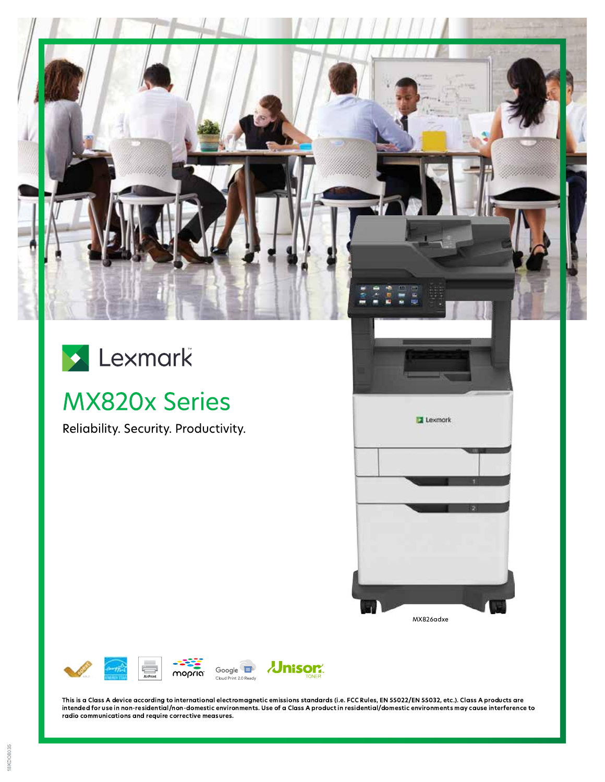

# Lexmark

## **MX820x Series**

Reliability. Security. Productivity.





This is a Class A device according to international electromagnetic emissions standards (i.e. FCC Rules, EN 55022/EN 55032, etc.). Class A products are intended for use in non-residential/non-domestic environments. Use of a Class A product in residential/domestic environments may cause interference to radio communications and require corrective measures.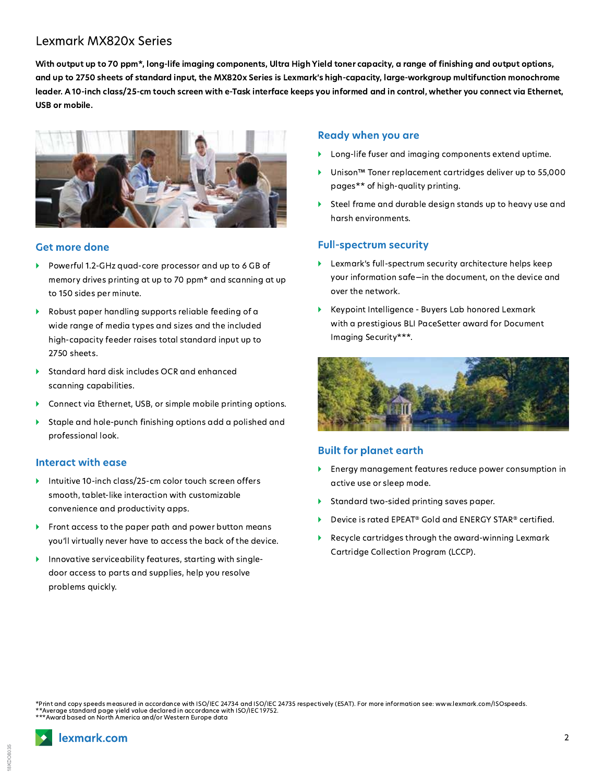### Lexmark MX820x Series

With output up to 70 ppm\*, long-life imaging components, Ultra High Yield toner capacity, a range of finishing and output options, and up to 2750 sheets of standard input, the MX820x Series is Lexmark's high-capacity, large-workgroup multifunction monochrome leader. A 10-inch class/25-cm touch screen with e-Task interface keeps you informed and in control, whether you connect via Ethernet, USB or mobile.



#### **Get more done**

- Powerful 1.2-GHz quad-core processor and up to 6 GB of memory drives printing at up to 70 ppm\* and scanning at up to 150 sides per minute.
- Robust paper handling supports reliable feeding of a wide range of media types and sizes and the included high-capacity feeder raises total standard input up to 2750 sheets.
- Standard hard disk includes OCR and enhanced scanning capabilities.
- Connect via Ethernet, USB, or simple mobile printing options.
- Staple and hole-punch finishing options add a polished and  $\blacktriangleright$ professional look.

#### Interact with ease

- Intuitive 10-inch class/25-cm color touch screen offers smooth, tablet-like interaction with customizable convenience and productivity apps.
- Front access to the paper path and power button means you'll virtually never have to access the back of the device.
- Innovative serviceability features, starting with singledoor access to parts and supplies, help you resolve problems quickly.

#### **Ready when you are**

- Long-life fuser and imaging components extend uptime.
- Unison<sup>™</sup> Toner replacement cartridges deliver up to 55,000 pages\*\* of high-quality printing.
- Steel frame and durable design stands up to heavy use and harsh environments.

#### **Full-spectrum security**

- Lexmark's full-spectrum security architecture helps keep your information safe-in the document, on the device and over the network.
- Keypoint Intelligence Buyers Lab honored Lexmark with a prestigious BLI PaceSetter award for Document Imaging Security\*\*\*.



#### **Built for planet earth**

- Energy management features reduce power consumption in active use or sleep mode.
- Standard two-sided printing saves paper. ь
- Device is rated EPEAT® Gold and ENERGY STAR® certified.
- Recycle cartridges through the award-winning Lexmark ь Cartridge Collection Program (LCCP).

Print and copy speeds measured in accordance with ISO/IEC 24734 and ISO/IEC 24735 respectively (ESAT). For more information see: www.lexmark.com/ISOspeeds. \*\*Average standard page yield value declared in accordance with ISO/IEC 19752.<br>\*\*\*Award based on North America and/or Western Europe data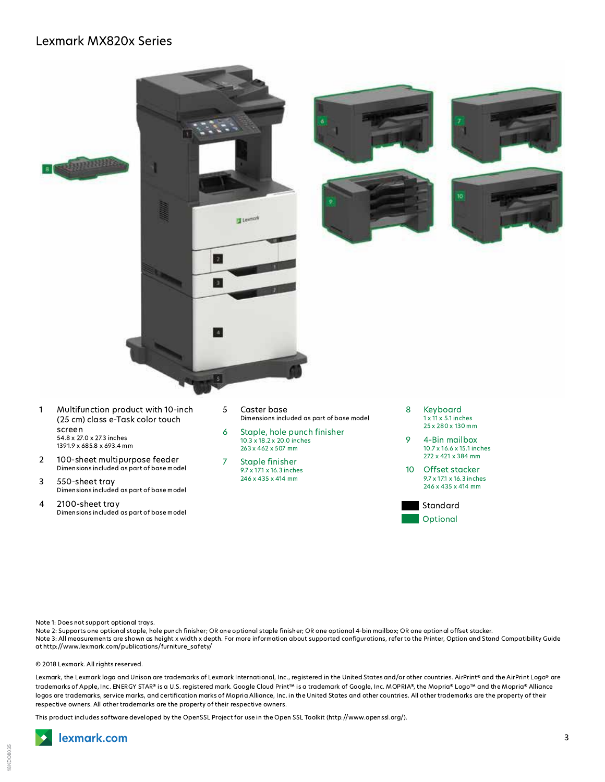

- Multifunction product with 10-inch  $\mathbf{1}$ (25 cm) class e-Task color touch screen 54.8 x 27.0 x 27.3 inches 1391.9 x 685.8 x 693.4 mm
- 100-sheet multipurpose feeder  $\overline{2}$ Dimensions included as part of base model
- 3 550-sheet tray Dimensions included as part of base model
- 4 2100-sheet tray Dimensions included as part of base model
- 5 Caster base Dimensions included as part of base model
- 6 Staple, hole punch finisher 10.3 x 18.2 x 20.0 inches 263 x 462 x 507 mm
- **Staple finisher**  $\overline{7}$ 9.7 x 17.1 x 16.3 inches 246 x 435 x 414 mm
- 8 Kevboard  $1 \times 11 \times 5.1$  inches 25 x 280 x 130 mm
- $\circ$ 4-Bin mailbox 10.7 x 16.6 x 15.1 inches 272 x 421 x 384 mm
- Offset stacker  $10$ 9.7 x 17.1 x 16.3 inches 246 x 435 x 414 mm



Note 1: Does not support optional trays.

Note 2: Supports one optional staple, hole punch finisher; OR one optional staple finisher; OR one optional 4-bin mailbox; OR one optional offset stacker. Note 3: All measurements are shown as height x width x depth. For more information about supported configurations, refer to the Printer, Option and Stand Compatibility Guide at http://www.lexmark.com/publications/furniture\_safety/

© 2018 Lexmark. All rights reserved.

Lexmark, the Lexmark logo and Unison are trademarks of Lexmark International, Inc., registered in the United States and/or other countries. AirPrint® and the AirPrint Logo® are trademarks of Apple, Inc. ENERGY STAR® is a U.S. registered mark. Google Cloud Print™ is a trademark of Google, Inc. MOPRIA®, the Mopria® Logo™ and the Mopria® Alliance logos are trademarks, service marks, and certification marks of Mopria Alliance, Inc. in the United States and other countries. All other trademarks are the property of their respective owners. All other trademarks are the property of their respective owners.

This product includes software developed by the OpenSSL Project for use in the Open SSL Toolkit (http://www.openssl.org/).